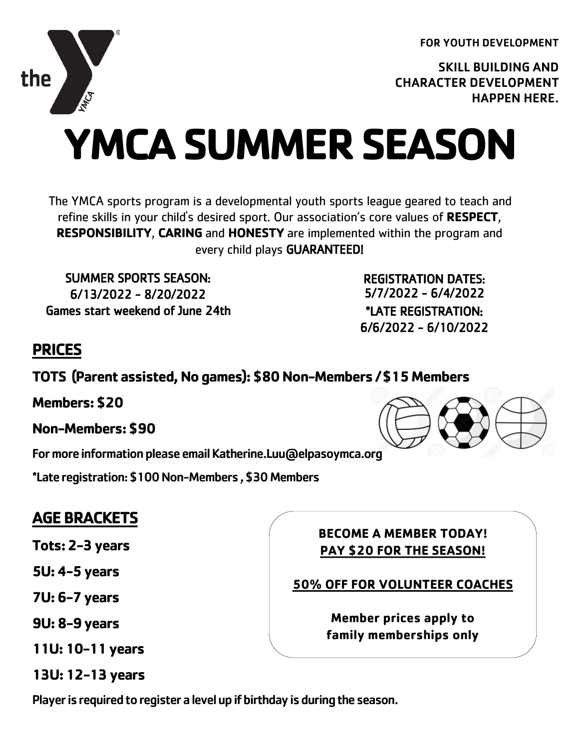FOR YOUTH DEVELOPMENT

SKILL BUILDING AND CHARACTER DEVELOPMENT HAPPEN HERE.

# **YMCA SUMMER SEASON**

The YMCA sports program is a developmental youth sports league geared to teach and refine skills in your child's desired sport. Our association's core values of **RESPECT**, **RESPONSIBILITY**, **CARING** and **HONESTY** are implemented within the program and every child plays GUARANTEED!

SUMMER SPORTS SEASON: 6/13/2022 - 8/20/2022 Games start weekend of June 24th

REGISTRATION DATES: 5/7/2022 - 6/4/2022 \*LATE REGISTRATION: 6/6/2022 - 6/10/2022

## **PRICES**

**TOTS (Parent assisted, No games): \$80 Non-Members / \$15 Members**

**Members: \$20**

**Non-Members: \$90**

For more information please email Katherine.Luu@elpasoymca.org

\*Late registration: \$100 Non-Members , \$30 Members

### **AGE BRACKETS**

**Tots: 2-3 years** 

**5U: 4-5 years** 

**7U: 6-7 years** 

**9U: 8-9 years**

**11U: 10-11 years**

**13U: 12-13 years**

**BECOME A MEMBER TODAY! PAY \$20 FOR THE SEASON!**

**50% OFF FOR VOLUNTEER COACHES**

**Member prices apply to family memberships only**

Player is required to register a level up if birthday is during the season.